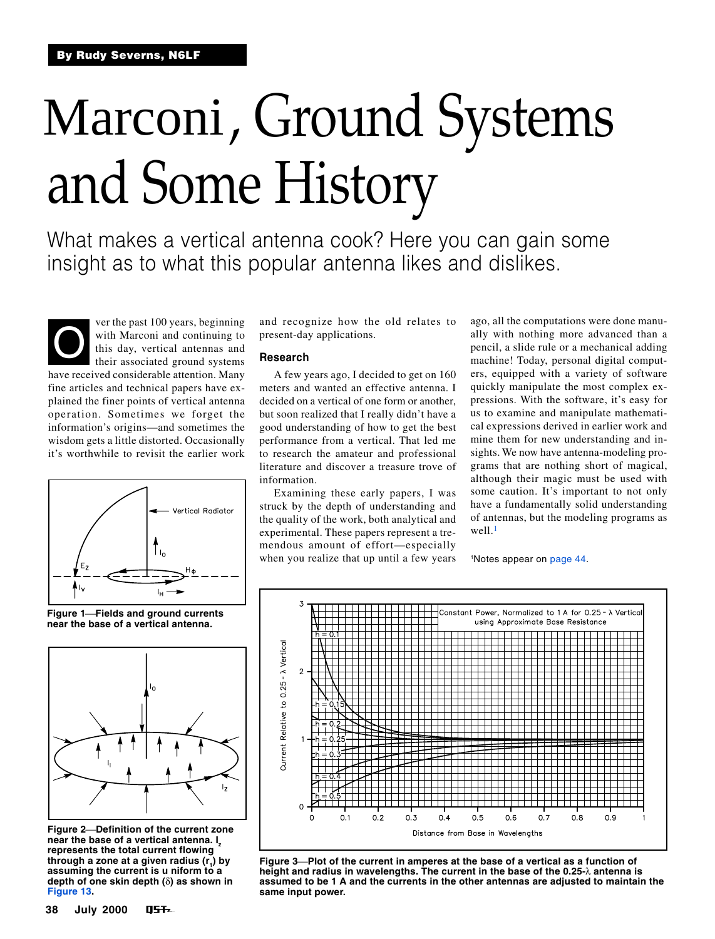# <span id="page-0-0"></span>Marconi, Ground Systems and Some History

What makes a vertical antenna cook? Here you can gain some insight as to what this popular antenna likes and dislikes.

Ver the past 100 years, beginning<br>with Marconi and continuing to<br>this day, vertical antennas and<br>their associated ground systems with Marconi and continuing to this day, vertical antennas and their associated ground systems have received considerable attention. Many fine articles and technical papers have explained the finer points of vertical antenna operation. Sometimes we forget the information's origins—and sometimes the wisdom gets a little distorted. Occasionally it's worthwhile to revisit the earlier work



**Figure 1Fields and ground currents near the base of a vertical antenna.**



**Figure 2Definition of the current zone near the base of a vertical antenna. Iz represents the total current flowing through a zone at a given radius (r1 ) by assuming the current is u niform to a depth of one skin depth (**δ**) as shown in [Figure 13](#page-6-0).**

and recognize how the old relates to present-day applications.

# **Research**

A few years ago, I decided to get on 160 meters and wanted an effective antenna. I decided on a vertical of one form or another, but soon realized that I really didn't have a good understanding of how to get the best performance from a vertical. That led me to research the amateur and professional literature and discover a treasure trove of information.

Examining these early papers, I was struck by the depth of understanding and the quality of the work, both analytical and experimental. These papers represent a tremendous amount of effort—especially when you realize that up until a few years

ago, all the computations were done manually with nothing more advanced than a pencil, a slide rule or a mechanical adding machine! Today, personal digital computers, equipped with a variety of software quickly manipulate the most complex expressions. With the software, it's easy for us to examine and manipulate mathematical expressions derived in earlier work and mine them for new understanding and insights. We now have antenna-modeling programs that are nothing short of magical, although their magic must be used with some caution. It's important to not only have a fundamentally solid understanding of antennas, but the modeling programs as  $well.<sup>1</sup>$  $well.<sup>1</sup>$  $well.<sup>1</sup>$ 

1 Notes appear on [page 44](#page-6-0).



**Figure 3Plot of the current in amperes at the base of a vertical as a function of height and radius in wavelengths. The current in the base of the 0.25-**λ **antenna is assumed to be 1 A and the currents in the other antennas are adjusted to maintain the same input power.**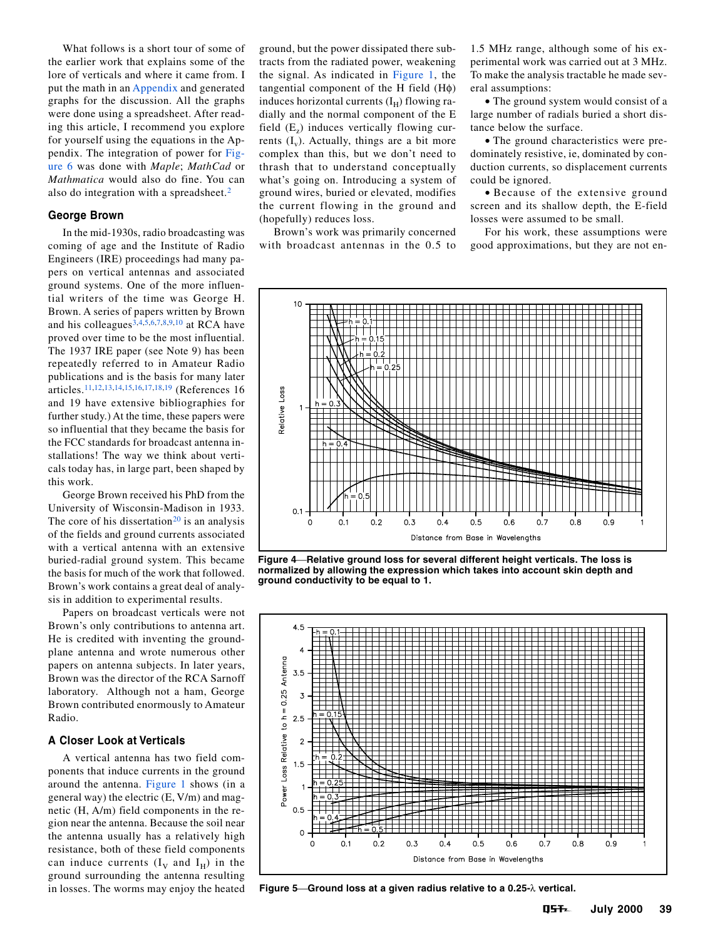<span id="page-1-0"></span>What follows is a short tour of some of the earlier work that explains some of the lore of verticals and where it came from. I put the math in an [Appendix](#page-4-0) and generated graphs for the discussion. All the graphs were done using a spreadsheet. After reading this article, I recommend you explore for yourself using the equations in the Appendix. The integration of power for [Fig](#page-2-0)[ure 6](#page-2-0) was done with *Maple*; *MathCad* or *Mathmatica* would also do fine. You can also do integration with a spreadsheet.[2](#page-6-0)

## **George Brown**

In the mid-1930s, radio broadcasting was coming of age and the Institute of Radio Engineers (IRE) proceedings had many papers on vertical antennas and associated ground systems. One of the more influential writers of the time was George H. Brown. A series of papers written by Brown and his colleagues<sup>3,4,5,6,7,8,9,[10](#page-6-0)</sup> at RCA have proved over time to be the most influential. The 1937 IRE paper (see Note 9) has been repeatedly referred to in Amateur Radio publications and is the basis for many later articles.[11](#page-6-0),[12,13,14,15](#page-6-0),[16,17,18,19](#page-6-0) (References 16 and 19 have extensive bibliographies for further study.) At the time, these papers were so influential that they became the basis for the FCC standards for broadcast antenna installations! The way we think about verticals today has, in large part, been shaped by this work.

George Brown received his PhD from the University of Wisconsin-Madison in 1933. The core of his dissertation<sup>[20](#page-6-0)</sup> is an analysis of the fields and ground currents associated with a vertical antenna with an extensive buried-radial ground system. This became the basis for much of the work that followed. Brown's work contains a great deal of analysis in addition to experimental results.

Papers on broadcast verticals were not Brown's only contributions to antenna art. He is credited with inventing the groundplane antenna and wrote numerous other papers on antenna subjects. In later years, Brown was the director of the RCA Sarnoff laboratory. Although not a ham, George Brown contributed enormously to Amateur Radio.

# **A Closer Look at Verticals**

A vertical antenna has two field components that induce currents in the ground around the antenna. [Figure 1](#page-0-0) shows (in a general way) the electric (E, V/m) and magnetic (H, A/m) field components in the region near the antenna. Because the soil near the antenna usually has a relatively high resistance, both of these field components can induce currents  $(I_V \text{ and } I_H)$  in the ground surrounding the antenna resulting

ground, but the power dissipated there subtracts from the radiated power, weakening the signal. As indicated in [Figure 1,](#page-0-0) the tangential component of the H field (Hφ) induces horizontal currents  $(I_H)$  flowing radially and the normal component of the E field  $(E<sub>z</sub>)$  induces vertically flowing currents  $(I_v)$ . Actually, things are a bit more complex than this, but we don't need to thrash that to understand conceptually what's going on. Introducing a system of ground wires, buried or elevated, modifies the current flowing in the ground and (hopefully) reduces loss.

Brown's work was primarily concerned with broadcast antennas in the 0.5 to

1.5 MHz range, although some of his experimental work was carried out at 3 MHz. To make the analysis tractable he made several assumptions:

• The ground system would consist of a large number of radials buried a short distance below the surface.

• The ground characteristics were predominately resistive, ie, dominated by conduction currents, so displacement currents could be ignored.

• Because of the extensive ground screen and its shallow depth, the E-field losses were assumed to be small.

For his work, these assumptions were good approximations, but they are not en-



**Figure 4Relative ground loss for several different height verticals. The loss is normalized by allowing the expression which takes into account skin depth and ground conductivity to be equal to 1.**



in losses. The worms may enjoy the heated **Figure 5Ground loss at a given radius relative to a 0.25-**λ **vertical.**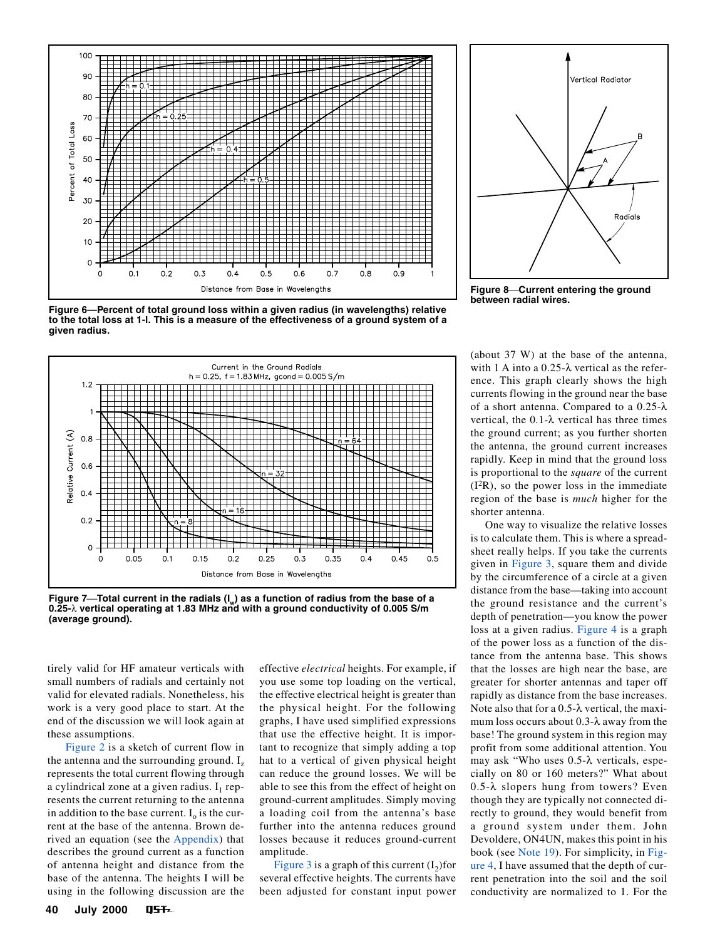<span id="page-2-0"></span>

**Figure 6—Percent of total ground loss within a given radius (in wavelengths) relative to the total loss at 1-l. This is a measure of the effectiveness of a ground system of a given radius.**



Figure 7—Total current in the radials (I<sub>w</sub>) as a function of radius from the base of a **0.25-**λ **vertical operating at 1.83 MHz and with a ground conductivity of 0.005 S/m (average ground).**

tirely valid for HF amateur verticals with small numbers of radials and certainly not valid for elevated radials. Nonetheless, his work is a very good place to start. At the end of the discussion we will look again at these assumptions.

[Figure 2](#page-0-0) is a sketch of current flow in the antenna and the surrounding ground.  $I<sub>z</sub>$ represents the total current flowing through a cylindrical zone at a given radius.  $I_1$  represents the current returning to the antenna in addition to the base current.  $I_0$  is the current at the base of the antenna. Brown derived an equation (see the [Appendix](#page-4-0)) that describes the ground current as a function of antenna height and distance from the base of the antenna. The heights I will be using in the following discussion are the

effective *electrical* heights. For example, if you use some top loading on the vertical, the effective electrical height is greater than the physical height. For the following graphs, I have used simplified expressions that use the effective height. It is important to recognize that simply adding a top hat to a vertical of given physical height can reduce the ground losses. We will be able to see this from the effect of height on ground-current amplitudes. Simply moving a loading coil from the antenna's base further into the antenna reduces ground losses because it reduces ground-current amplitude.

[Figure 3](#page-0-0) is a graph of this current  $(I_2)$ for several effective heights. The currents have been adjusted for constant input power



**Figure 8Current entering the ground between radial wires.**

(about 37 W) at the base of the antenna, with 1 A into a 0.25-λ vertical as the reference. This graph clearly shows the high currents flowing in the ground near the base of a short antenna. Compared to a 0.25-λ vertical, the 0.1-λ vertical has three times the ground current; as you further shorten the antenna, the ground current increases rapidly. Keep in mind that the ground loss is proportional to the *square* of the current (I2R), so the power loss in the immediate region of the base is *much* higher for the shorter antenna.

One way to visualize the relative losses is to calculate them. This is where a spreadsheet really helps. If you take the currents given in [Figure 3,](#page-0-0) square them and divide by the circumference of a circle at a given distance from the base—taking into account the ground resistance and the current's depth of penetration—you know the power loss at a given radius. [Figure 4](#page-1-0) is a graph of the power loss as a function of the distance from the antenna base. This shows that the losses are high near the base, are greater for shorter antennas and taper off rapidly as distance from the base increases. Note also that for a 0.5-λ vertical, the maximum loss occurs about 0.3-λ away from the base! The ground system in this region may profit from some additional attention. You may ask "Who uses 0.5-λ verticals, especially on 80 or 160 meters?" What about 0.5-λ slopers hung from towers? Even though they are typically not connected directly to ground, they would benefit from a ground system under them. John Devoldere, ON4UN, makes this point in his book (see [Note 19](#page-6-0)). For simplicity, in [Fig](#page-1-0)[ure 4,](#page-1-0) I have assumed that the depth of current penetration into the soil and the soil conductivity are normalized to 1. For the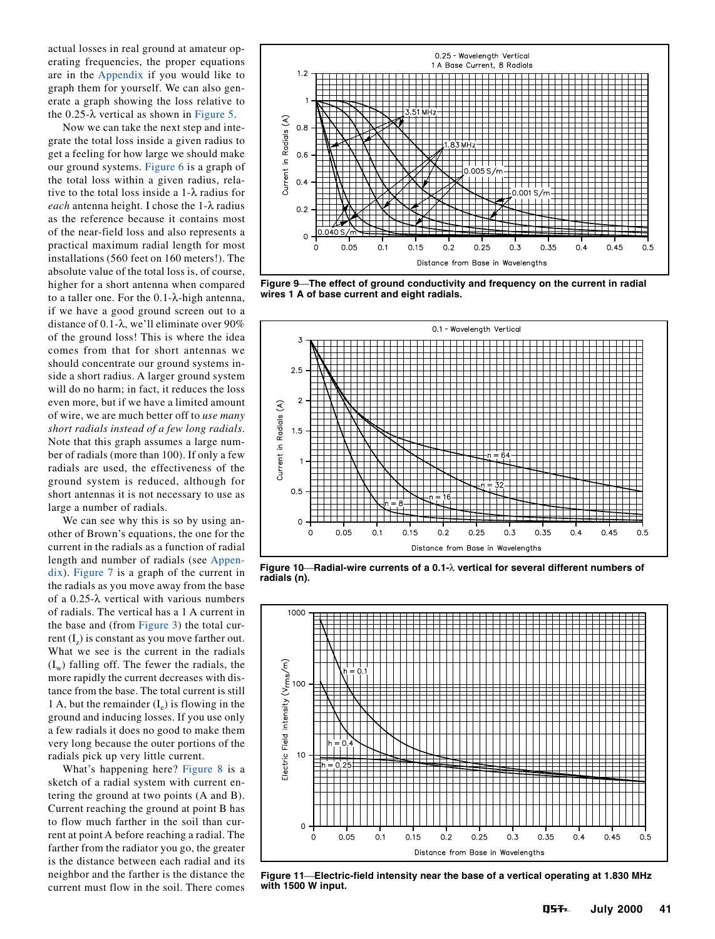<span id="page-3-0"></span>actual losses in real ground at amateur operating frequencies, the proper equations are in the [Appendix](#page-4-0) if you would like to graph them for yourself. We can also generate a graph showing the loss relative to the  $0.25-\lambda$  vertical as shown in [Figure 5.](#page-1-0)

Now we can take the next step and integrate the total loss inside a given radius to get a feeling for how large we should make our ground systems. [Figure 6](#page-2-0) is a graph of the total loss within a given radius, relative to the total loss inside a 1-λ radius for *each* antenna height. I chose the 1-λ radius as the reference because it contains most of the near-field loss and also represents a practical maximum radial length for most installations (560 feet on 160 meters!). The absolute value of the total loss is, of course, higher for a short antenna when compared to a taller one. For the 0.1-λ-high antenna, if we have a good ground screen out to a distance of 0.1-λ, we'll eliminate over 90% of the ground loss! This is where the idea comes from that for short antennas we should concentrate our ground systems inside a short radius. A larger ground system will do no harm; in fact, it reduces the loss even more, but if we have a limited amount of wire, we are much better off to *use many short radials instead of a few long radials*. Note that this graph assumes a large number of radials (more than 100). If only a few radials are used, the effectiveness of the ground system is reduced, although for short antennas it is not necessary to use as large a number of radials.

We can see why this is so by using another of Brown's equations, the one for the current in the radials as a function of radial length and number of radials (see [Appen](#page-4-0)[dix\)](#page-4-0). [Figure 7](#page-2-0) is a graph of the current in the radials as you move away from the base of a 0.25-λ vertical with various numbers of radials. The vertical has a 1 A current in the base and (from [Figure 3\)](#page-0-0) the total current  $(I_2)$  is constant as you move farther out. What we see is the current in the radials  $(I_w)$  falling off. The fewer the radials, the more rapidly the current decreases with distance from the base. The total current is still 1 A, but the remainder  $(I_e)$  is flowing in the ground and inducing losses. If you use only a few radials it does no good to make them very long because the outer portions of the radials pick up very little current.

What's happening here? [Figure 8](#page-2-0) is a sketch of a radial system with current entering the ground at two points (A and B). Current reaching the ground at point B has to flow much farther in the soil than current at point A before reaching a radial. The farther from the radiator you go, the greater is the distance between each radial and its neighbor and the farther is the distance the current must flow in the soil. There comes



**Figure 9The effect of ground conductivity and frequency on the current in radial wires 1 A of base current and eight radials.**



**Figure 10Radial-wire currents of a 0.1-**λ **vertical for several different numbers of radials (n).**



**Figure 11Electric-field intensity near the base of a vertical operating at 1.830 MHz with 1500 W input.**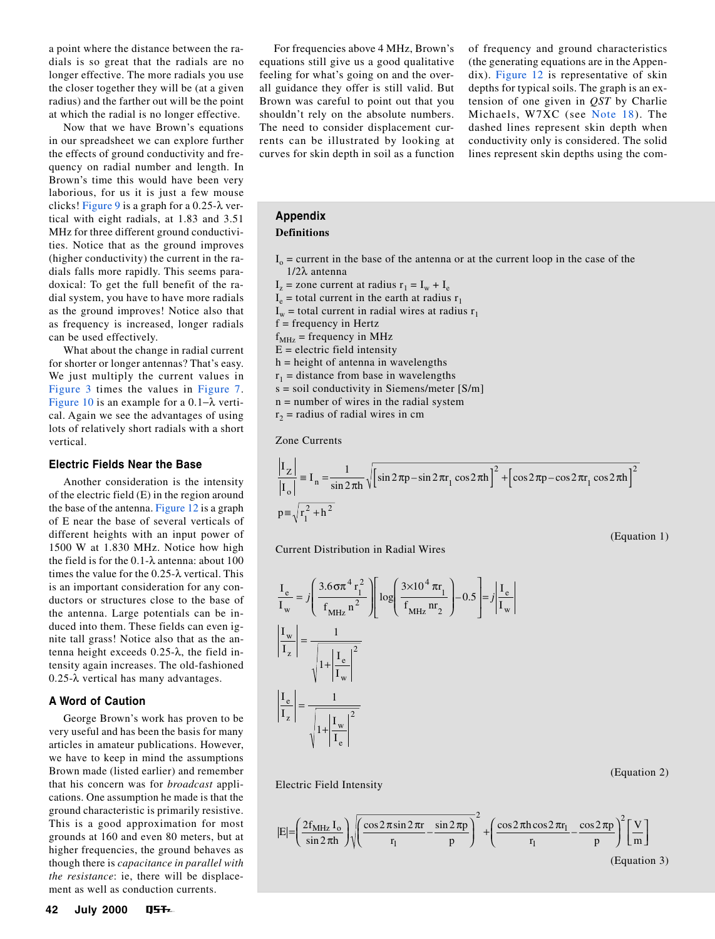<span id="page-4-0"></span>a point where the distance between the radials is so great that the radials are no longer effective. The more radials you use the closer together they will be (at a given radius) and the farther out will be the point at which the radial is no longer effective.

Now that we have Brown's equations in our spreadsheet we can explore further the effects of ground conductivity and frequency on radial number and length. In Brown's time this would have been very laborious, for us it is just a few mouse clicks! [Figure 9](#page-3-0) is a graph for a 0.25-λ vertical with eight radials, at 1.83 and 3.51 MHz for three different ground conductivities. Notice that as the ground improves (higher conductivity) the current in the radials falls more rapidly. This seems paradoxical: To get the full benefit of the radial system, you have to have more radials as the ground improves! Notice also that as frequency is increased, longer radials can be used effectively.

What about the change in radial current for shorter or longer antennas? That's easy. We just multiply the current values in [Figure 3](#page-0-0) times the values in [Figure 7](#page-2-0). [Figure 10](#page-3-0) is an example for a 0.1−λ vertical. Again we see the advantages of using lots of relatively short radials with a short vertical.

# **Electric Fields Near the Base**

Another consideration is the intensity of the electric field (E) in the region around the base of the antenna. [Figure 12](#page-6-0) is a graph of E near the base of several verticals of different heights with an input power of 1500 W at 1.830 MHz. Notice how high the field is for the 0.1-λ antenna: about 100 times the value for the 0.25-λ vertical. This is an important consideration for any conductors or structures close to the base of the antenna. Large potentials can be induced into them. These fields can even ignite tall grass! Notice also that as the antenna height exceeds 0.25-λ, the field intensity again increases. The old-fashioned 0.25-λ vertical has many advantages.

#### **A Word of Caution**

George Brown's work has proven to be very useful and has been the basis for many articles in amateur publications. However, we have to keep in mind the assumptions Brown made (listed earlier) and remember that his concern was for *broadcast* applications. One assumption he made is that the ground characteristic is primarily resistive. This is a good approximation for most grounds at 160 and even 80 meters, but at higher frequencies, the ground behaves as though there is *capacitance in parallel with the resistance*: ie, there will be displacement as well as conduction currents.

For frequencies above 4 MHz, Brown's equations still give us a good qualitative feeling for what's going on and the overall guidance they offer is still valid. But Brown was careful to point out that you shouldn't rely on the absolute numbers. The need to consider displacement currents can be illustrated by looking at curves for skin depth in soil as a function

of frequency and ground characteristics (the generating equations are in the Appendix). [Figure 12](#page-6-0) is representative of skin depths for typical soils. The graph is an extension of one given in *QST* by Charlie Michaels, W7XC (see [Note 18](#page-6-0)). The dashed lines represent skin depth when conductivity only is considered. The solid lines represent skin depths using the com-

(Equation 1)

(Equation 2)

# **Appendix**

# **Definitions**

- $I_0$  = current in the base of the antenna or at the current loop in the case of the 1/2λ antenna
- $I_z$  = zone current at radius  $r_1 = I_w + I_e$
- $I_e$  = total current in the earth at radius  $r_1$
- $I_w$  = total current in radial wires at radius  $r_1$
- $f = frequency$  in Hertz
- $f<sub>MHz</sub>$  = frequency in MHz
- $E =$  electric field intensity
- $h$  = height of antenna in wavelengths
- $r_1$  = distance from base in wavelengths
- s = soil conductivity in Siemens/meter [S/m]
- n = number of wires in the radial system
- $r<sub>2</sub>$  = radius of radial wires in cm

Zone Currents

$$
\frac{|I_Z|}{|I_o|} = I_n = \frac{1}{\sin 2\pi h} \sqrt{\left[\sin 2\pi p - \sin 2\pi r_1 \cos 2\pi h\right]^2 + \left[\cos 2\pi p - \cos 2\pi r_1 \cos 2\pi h\right]^2}
$$
  

$$
p = \sqrt{r_1^2 + h^2}
$$

Current Distribution in Radial Wires

$$
\frac{I_e}{I_w} = j \left( \frac{3.6 \sigma \pi^4 r_1^2}{f_{MHz} n^2} \right) \left[ \log \left( \frac{3 \times 10^4 \pi r_1}{f_{MHz} m_2} \right) - 0.5 \right] = j \left| \frac{I_e}{I_w} \right|
$$

$$
\left| \frac{I_w}{I_z} \right| = \frac{1}{\sqrt{1 + \left| \frac{I_e}{I_w} \right|^2}}
$$

$$
\left| \frac{I_e}{I_z} \right| = \frac{1}{\sqrt{1 + \left| \frac{I_w}{I_e} \right|^2}}
$$

Electric Field Intensity

$$
|E| = \left(\frac{2f_{\text{MHz}}I_o}{\sin 2\pi h}\right) \sqrt{\left(\frac{\cos 2\pi \sin 2\pi r}{r_1} - \frac{\sin 2\pi p}{p}\right)^2} + \left(\frac{\cos 2\pi h \cos 2\pi r_1}{r_1} - \frac{\cos 2\pi p}{p}\right)^2 \left[\frac{V}{m}\right]
$$
\n(Equation 3)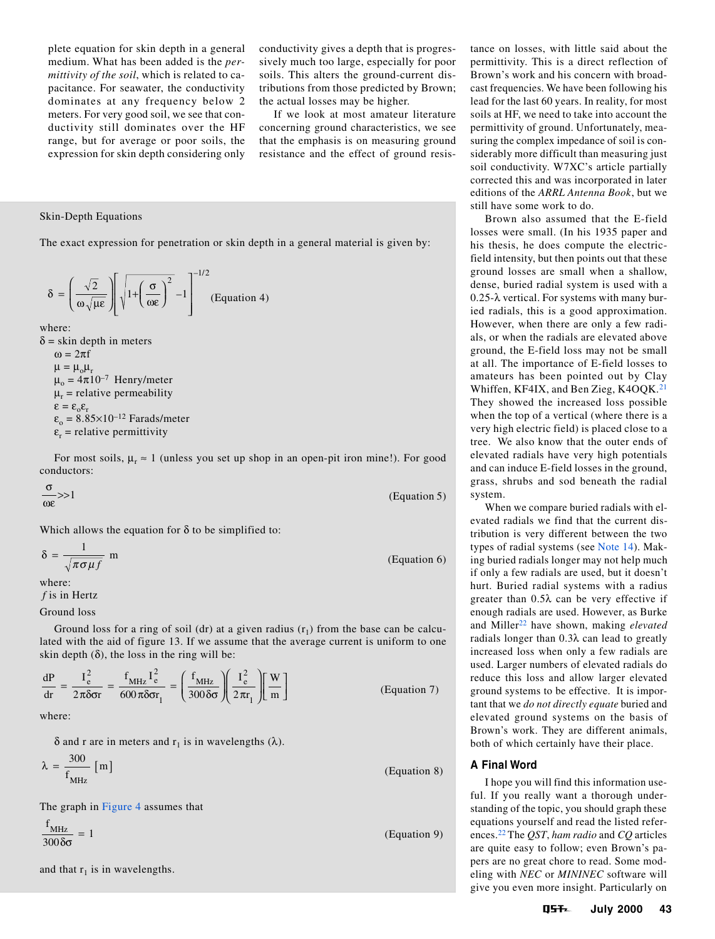plete equation for skin depth in a general medium. What has been added is the *permittivity of the soil*, which is related to capacitance. For seawater, the conductivity dominates at any frequency below 2 meters. For very good soil, we see that conductivity still dominates over the HF range, but for average or poor soils, the expression for skin depth considering only conductivity gives a depth that is progressively much too large, especially for poor soils. This alters the ground-current distributions from those predicted by Brown; the actual losses may be higher.

If we look at most amateur literature concerning ground characteristics, we see that the emphasis is on measuring ground resistance and the effect of ground resis-

### Skin-Depth Equations

The exact expression for penetration or skin depth in a general material is given by:

$$
\delta = \left(\frac{\sqrt{2}}{\omega \sqrt{\mu \epsilon}}\right) \left[\sqrt{1 + \left(\frac{\sigma}{\omega \epsilon}\right)^2} - 1\right]^{-1/2} \text{(Equation 4)}
$$

where:

 $\delta$  = skin depth in meters  $\omega = 2\pi f$  $\mu = \mu_{o}\mu_{r}$  $\mu_0 = 4\pi 10^{-7}$  Henry/meter  $\mu_r$  = relative permeability  $\epsilon = \epsilon_0 \epsilon_r$  $\varepsilon_{0} = 8.85 \times 10^{-12}$  Farads/meter  $\varepsilon_r$  = relative permittivity

For most soils,  $\mu_r \approx 1$  (unless you set up shop in an open-pit iron mine!). For good conductors:

σ ωε (Equation 5)

Which allows the equation for  $\delta$  to be simplified to:

$$
\delta = \frac{1}{\sqrt{\pi \sigma \mu f}} \text{ m} \tag{Equation 6}
$$

where:

*f* is in Hertz

Ground loss

Ground loss for a ring of soil (dr) at a given radius  $(r_1)$  from the base can be calculated with the aid of figure 13. If we assume that the average current is uniform to one skin depth  $(\delta)$ , the loss in the ring will be:

$$
\frac{dP}{dr} = \frac{I_e^2}{2\pi\delta\sigma r} = \frac{f_{MHz}}{600\pi\delta\sigma r_1} = \left(\frac{f_{MHz}}{300\delta\sigma}\right)\left(\frac{I_e^2}{2\pi r_1}\right)\left[\frac{W}{m}\right]
$$
(Equation 7)

where:

δ and r are in meters and  $r_1$  is in wavelengths (λ).

$$
\lambda = \frac{300}{f_{\text{MHz}}} \text{ [m]}
$$
 (Equation 8)

The graph in [Figure 4](#page-1-0) assumes that

 $\frac{f_{\text{MHz}}}{f_{\text{200}}g} = 1$  $300\delta\sigma$ 

and that  $r_1$  is in wavelengths.

tance on losses, with little said about the permittivity. This is a direct reflection of Brown's work and his concern with broadcast frequencies. We have been following his lead for the last 60 years. In reality, for most soils at HF, we need to take into account the permittivity of ground. Unfortunately, measuring the complex impedance of soil is considerably more difficult than measuring just soil conductivity. W7XC's article partially corrected this and was incorporated in later editions of the *ARRL Antenna Book*, but we still have some work to do.

Brown also assumed that the E-field losses were small. (In his 1935 paper and his thesis, he does compute the electricfield intensity, but then points out that these ground losses are small when a shallow, dense, buried radial system is used with a 0.25-λ vertical. For systems with many buried radials, this is a good approximation. However, when there are only a few radials, or when the radials are elevated above ground, the E-field loss may not be small at all. The importance of E-field losses to amateurs has been pointed out by Clay Whiffen, KF4IX, and Ben Zieg, K4OQK.<sup>[21](#page-6-0)</sup> They showed the increased loss possible when the top of a vertical (where there is a very high electric field) is placed close to a tree. We also know that the outer ends of elevated radials have very high potentials and can induce E-field losses in the ground, grass, shrubs and sod beneath the radial system.

When we compare buried radials with elevated radials we find that the current distribution is very different between the two types of radial systems (see [Note 14\)](#page-6-0). Making buried radials longer may not help much if only a few radials are used, but it doesn't hurt. Buried radial systems with a radius greater than 0.5λ can be very effective if enough radials are used. However, as Burke and Miller<sup>[22](#page-6-0)</sup> have shown, making *elevated* radials longer than 0.3λ can lead to greatly increased loss when only a few radials are used. Larger numbers of elevated radials do reduce this loss and allow larger elevated ground systems to be effective. It is important that we *do not directly equate* buried and elevated ground systems on the basis of Brown's work. They are different animals, both of which certainly have their place.

# **A Final Word**

I hope you will find this information useful. If you really want a thorough understanding of the topic, you should graph these equations yourself and read the listed references.[22](#page-6-0) The *QST*, *ham radio* and *CQ* articles are quite easy to follow; even Brown's papers are no great chore to read. Some modeling with *NEC* or *MININEC* software will give you even more insight. Particularly on

**July 2000 43**

 $\frac{12}{\delta \sigma} = 1$  (Equation 9)